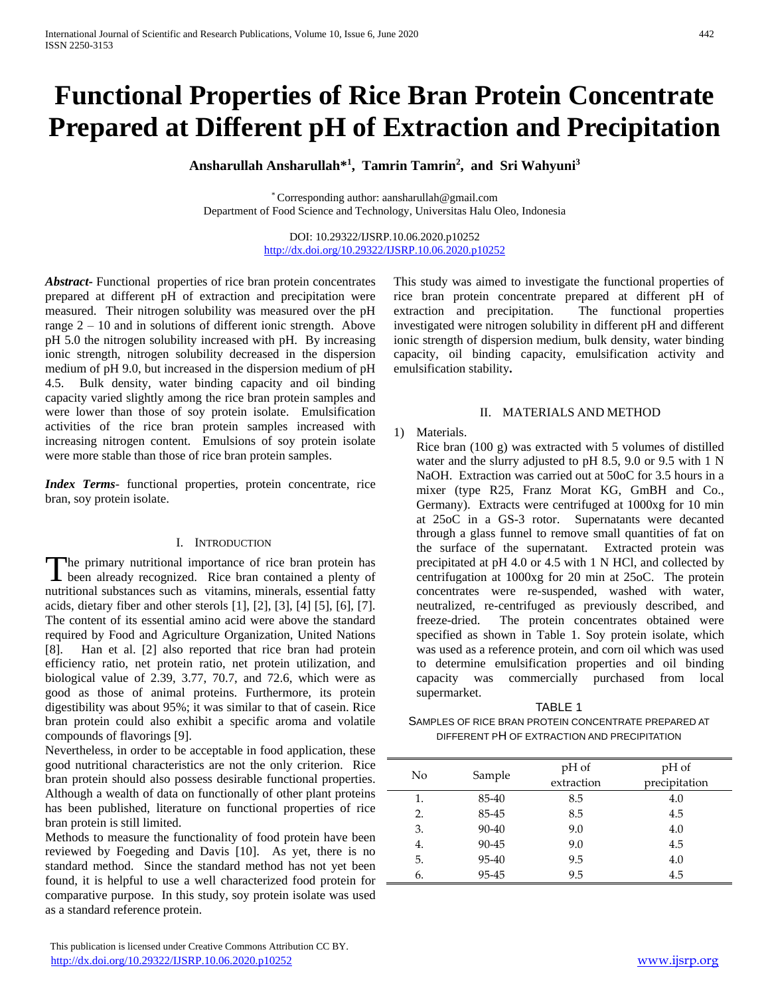# **Functional Properties of Rice Bran Protein Concentrate Prepared at Different pH of Extraction and Precipitation**

**Ansharullah Ansharullah\* 1 , Tamrin Tamrin<sup>2</sup> , and Sri Wahyuni<sup>3</sup>**

\* Corresponding author: aansharullah@gmail.com Department of Food Science and Technology, Universitas Halu Oleo, Indonesia

> DOI: 10.29322/IJSRP.10.06.2020.p10252 <http://dx.doi.org/10.29322/IJSRP.10.06.2020.p10252>

*Abstract***-** Functional properties of rice bran protein concentrates prepared at different pH of extraction and precipitation were measured. Their nitrogen solubility was measured over the pH range  $2 - 10$  and in solutions of different ionic strength. Above pH 5.0 the nitrogen solubility increased with pH. By increasing ionic strength, nitrogen solubility decreased in the dispersion medium of pH 9.0, but increased in the dispersion medium of pH 4.5. Bulk density, water binding capacity and oil binding capacity varied slightly among the rice bran protein samples and were lower than those of soy protein isolate. Emulsification activities of the rice bran protein samples increased with increasing nitrogen content. Emulsions of soy protein isolate were more stable than those of rice bran protein samples.

*Index Terms*- functional properties, protein concentrate, rice bran, soy protein isolate.

## I. INTRODUCTION

The primary nutritional importance of rice bran protein has The primary nutritional importance of rice bran protein has been already recognized. Rice bran contained a plenty of nutritional substances such as vitamins, minerals, essential fatty acids, dietary fiber and other sterols [1], [2], [3], [4] [5], [6], [7]. The content of its essential amino acid were above the standard required by Food and Agriculture Organization, United Nations [8]. Han et al. [2] also reported that rice bran had protein efficiency ratio, net protein ratio, net protein utilization, and biological value of 2.39, 3.77, 70.7, and 72.6, which were as good as those of animal proteins. Furthermore, its protein digestibility was about 95%; it was similar to that of casein. Rice bran protein could also exhibit a specific aroma and volatile compounds of flavorings [9].

Nevertheless, in order to be acceptable in food application, these good nutritional characteristics are not the only criterion. Rice bran protein should also possess desirable functional properties. Although a wealth of data on functionally of other plant proteins has been published, literature on functional properties of rice bran protein is still limited.

Methods to measure the functionality of food protein have been reviewed by Foegeding and Davis [10]. As yet, there is no standard method. Since the standard method has not yet been found, it is helpful to use a well characterized food protein for comparative purpose. In this study, soy protein isolate was used as a standard reference protein.

This study was aimed to investigate the functional properties of rice bran protein concentrate prepared at different pH of extraction and precipitation. The functional properties investigated were nitrogen solubility in different pH and different ionic strength of dispersion medium, bulk density, water binding capacity, oil binding capacity, emulsification activity and emulsification stability**.** 

## II. MATERIALS AND METHOD

## 1) Materials.

Rice bran (100 g) was extracted with 5 volumes of distilled water and the slurry adjusted to pH 8.5, 9.0 or 9.5 with 1 N NaOH. Extraction was carried out at 50oC for 3.5 hours in a mixer (type R25, Franz Morat KG, GmBH and Co., Germany). Extracts were centrifuged at 1000xg for 10 min at 25oC in a GS-3 rotor. Supernatants were decanted through a glass funnel to remove small quantities of fat on the surface of the supernatant. Extracted protein was precipitated at pH 4.0 or 4.5 with 1 N HCl, and collected by centrifugation at 1000xg for 20 min at 25oC. The protein concentrates were re-suspended, washed with water, neutralized, re-centrifuged as previously described, and freeze-dried. The protein concentrates obtained were specified as shown in Table 1. Soy protein isolate, which was used as a reference protein, and corn oil which was used to determine emulsification properties and oil binding capacity was commercially purchased from local supermarket.

TABLE 1 SAMPLES OF RICE BRAN PROTEIN CONCENTRATE PREPARED AT DIFFERENT PH OF EXTRACTION AND PRECIPITATION

| No | Sample | pH of      | pH of         |
|----|--------|------------|---------------|
|    |        | extraction | precipitation |
| 1. | 85-40  | 8.5        | 4.0           |
| 2. | 85-45  | 8.5        | 4.5           |
| 3. | 90-40  | 9.0        | 4.0           |
| 4. | 90-45  | 9.0        | 4.5           |
| 5. | 95-40  | 9.5        | 4.0           |
| 6. | 95-45  | 9.5        | 4.5           |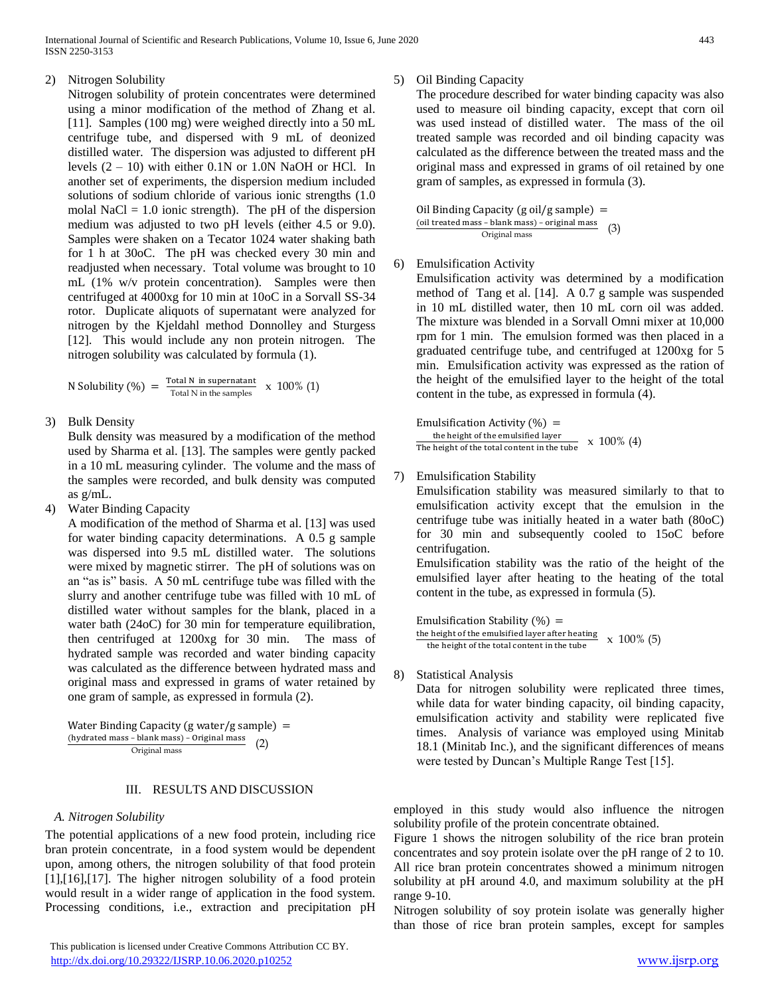# 2) Nitrogen Solubility

Nitrogen solubility of protein concentrates were determined using a minor modification of the method of Zhang et al. [11]. Samples (100 mg) were weighed directly into a 50 mL centrifuge tube, and dispersed with 9 mL of deonized distilled water. The dispersion was adjusted to different pH levels  $(2 - 10)$  with either 0.1N or 1.0N NaOH or HCl. In another set of experiments, the dispersion medium included solutions of sodium chloride of various ionic strengths (1.0 molal NaCl  $= 1.0$  ionic strength). The pH of the dispersion medium was adjusted to two pH levels (either 4.5 or 9.0). Samples were shaken on a Tecator 1024 water shaking bath for 1 h at 30oC. The pH was checked every 30 min and readjusted when necessary. Total volume was brought to 10 mL (1% w/v protein concentration). Samples were then centrifuged at 4000xg for 10 min at 10oC in a Sorvall SS-34 rotor. Duplicate aliquots of supernatant were analyzed for nitrogen by the Kjeldahl method Donnolley and Sturgess [12]. This would include any non protein nitrogen. The nitrogen solubility was calculated by formula (1).

N Solubility (%) = 
$$
\frac{\text{Total N in supernatant}}{\text{Total N in the samples}} \times 100\% (1)
$$

3) Bulk Density

Bulk density was measured by a modification of the method used by Sharma et al. [13]. The samples were gently packed in a 10 mL measuring cylinder. The volume and the mass of the samples were recorded, and bulk density was computed as g/mL.

4) Water Binding Capacity

A modification of the method of Sharma et al. [13] was used for water binding capacity determinations. A 0.5 g sample was dispersed into 9.5 mL distilled water. The solutions were mixed by magnetic stirrer. The pH of solutions was on an "as is" basis. A 50 mL centrifuge tube was filled with the slurry and another centrifuge tube was filled with 10 mL of distilled water without samples for the blank, placed in a water bath (24oC) for 30 min for temperature equilibration, then centrifuged at 1200xg for 30 min. The mass of hydrated sample was recorded and water binding capacity was calculated as the difference between hydrated mass and original mass and expressed in grams of water retained by one gram of sample, as expressed in formula (2).

Water Binding Capacity (g water/g sample)  $=$ (hydrated mass – blank mass) – Original mass Original mass (2)

## III. RESULTS AND DISCUSSION

## *A. Nitrogen Solubility*

The potential applications of a new food protein, including rice bran protein concentrate, in a food system would be dependent upon, among others, the nitrogen solubility of that food protein [1],[16],[17]. The higher nitrogen solubility of a food protein would result in a wider range of application in the food system. Processing conditions, i.e., extraction and precipitation pH

## 5) Oil Binding Capacity

The procedure described for water binding capacity was also used to measure oil binding capacity, except that corn oil was used instead of distilled water. The mass of the oil treated sample was recorded and oil binding capacity was calculated as the difference between the treated mass and the original mass and expressed in grams of oil retained by one gram of samples, as expressed in formula (3).

Oil Binding Capacity (g oil/g sample)  $=$ (oil treated mass – blank mass) – original mass Original mass (3)

# 6) Emulsification Activity

Emulsification activity was determined by a modification method of Tang et al. [14]. A 0.7 g sample was suspended in 10 mL distilled water, then 10 mL corn oil was added. The mixture was blended in a Sorvall Omni mixer at 10,000 rpm for 1 min. The emulsion formed was then placed in a graduated centrifuge tube, and centrifuged at 1200xg for 5 min. Emulsification activity was expressed as the ration of the height of the emulsified layer to the height of the total content in the tube, as expressed in formula (4).

Emulsification Activity  $(\%) =$ the height of the emulsified layer The height of the total content in the tube  $x = 100\%$  (4)

# 7) Emulsification Stability

Emulsification stability was measured similarly to that to emulsification activity except that the emulsion in the centrifuge tube was initially heated in a water bath (80oC) for 30 min and subsequently cooled to 15oC before centrifugation.

Emulsification stability was the ratio of the height of the emulsified layer after heating to the heating of the total content in the tube, as expressed in formula (5).

Emulsification Stability  $(\%) =$ the height of the emulsified layer after heating  $\times 100\%$  (5)<br>the height of the total content in the tube

8) Statistical Analysis

Data for nitrogen solubility were replicated three times, while data for water binding capacity, oil binding capacity, emulsification activity and stability were replicated five times. Analysis of variance was employed using Minitab 18.1 (Minitab Inc.), and the significant differences of means were tested by Duncan's Multiple Range Test [15].

employed in this study would also influence the nitrogen solubility profile of the protein concentrate obtained.

Figure 1 shows the nitrogen solubility of the rice bran protein concentrates and soy protein isolate over the pH range of 2 to 10. All rice bran protein concentrates showed a minimum nitrogen solubility at pH around 4.0, and maximum solubility at the pH range 9-10.

Nitrogen solubility of soy protein isolate was generally higher than those of rice bran protein samples, except for samples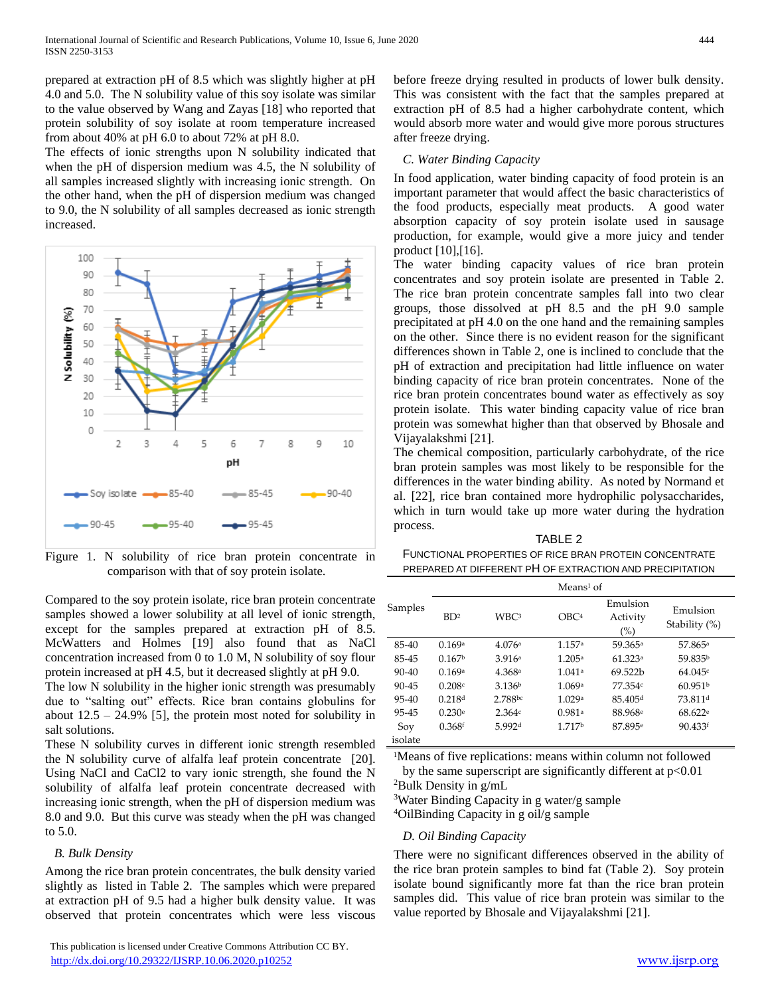prepared at extraction pH of 8.5 which was slightly higher at pH 4.0 and 5.0. The N solubility value of this soy isolate was similar to the value observed by Wang and Zayas [18] who reported that protein solubility of soy isolate at room temperature increased from about 40% at pH 6.0 to about 72% at pH 8.0.

The effects of ionic strengths upon N solubility indicated that when the pH of dispersion medium was 4.5, the N solubility of all samples increased slightly with increasing ionic strength. On the other hand, when the pH of dispersion medium was changed to 9.0, the N solubility of all samples decreased as ionic strength increased.



Figure 1. N solubility of rice bran protein concentrate in comparison with that of soy protein isolate.

Compared to the soy protein isolate, rice bran protein concentrate samples showed a lower solubility at all level of ionic strength, except for the samples prepared at extraction pH of 8.5. McWatters and Holmes [19] also found that as NaCl concentration increased from 0 to 1.0 M, N solubility of soy flour protein increased at pH 4.5, but it decreased slightly at pH 9.0.

The low N solubility in the higher ionic strength was presumably due to "salting out" effects. Rice bran contains globulins for about  $12.5 - 24.9\%$  [5], the protein most noted for solubility in salt solutions.

These N solubility curves in different ionic strength resembled the N solubility curve of alfalfa leaf protein concentrate [20]. Using NaCl and CaCl2 to vary ionic strength, she found the N solubility of alfalfa leaf protein concentrate decreased with increasing ionic strength, when the pH of dispersion medium was 8.0 and 9.0. But this curve was steady when the pH was changed to 5.0.

## *B. Bulk Density*

Among the rice bran protein concentrates, the bulk density varied slightly as listed in Table 2. The samples which were prepared at extraction pH of 9.5 had a higher bulk density value. It was observed that protein concentrates which were less viscous

 This publication is licensed under Creative Commons Attribution CC BY. <http://dx.doi.org/10.29322/IJSRP.10.06.2020.p10252> [www.ijsrp.org](http://ijsrp.org/)

before freeze drying resulted in products of lower bulk density. This was consistent with the fact that the samples prepared at extraction pH of 8.5 had a higher carbohydrate content, which would absorb more water and would give more porous structures after freeze drying.

## *C. Water Binding Capacity*

In food application, water binding capacity of food protein is an important parameter that would affect the basic characteristics of the food products, especially meat products. A good water absorption capacity of soy protein isolate used in sausage production, for example, would give a more juicy and tender product [10],[16].

The water binding capacity values of rice bran protein concentrates and soy protein isolate are presented in Table 2. The rice bran protein concentrate samples fall into two clear groups, those dissolved at pH 8.5 and the pH 9.0 sample precipitated at pH 4.0 on the one hand and the remaining samples on the other. Since there is no evident reason for the significant differences shown in Table 2, one is inclined to conclude that the pH of extraction and precipitation had little influence on water binding capacity of rice bran protein concentrates. None of the rice bran protein concentrates bound water as effectively as soy protein isolate. This water binding capacity value of rice bran protein was somewhat higher than that observed by Bhosale and Vijayalakshmi [21].

The chemical composition, particularly carbohydrate, of the rice bran protein samples was most likely to be responsible for the differences in the water binding ability. As noted by Normand et al. [22], rice bran contained more hydrophilic polysaccharides, which in turn would take up more water during the hydration process.

TABLE 2 FUNCTIONAL PROPERTIES OF RICE BRAN PROTEIN CONCENTRATE PREPARED AT DIFFERENT PH OF EXTRACTION AND PRECIPITATION

|           |                    |                    | $Mean1$ of       |                             |                           |
|-----------|--------------------|--------------------|------------------|-----------------------------|---------------------------|
| Samples   | BD <sup>2</sup>    | WBC <sup>3</sup>   | OBC <sup>4</sup> | Emulsion<br>Activity<br>(%) | Emulsion<br>Stability (%) |
| $85-40$   | 0.169a             | 4.076a             | 1.157a           | 59.365 <sup>a</sup>         | 57.865 <sup>a</sup>       |
| 85-45     | 0.167 <sup>b</sup> | 3.916a             | 1.205a           | 61.323a                     | 59.835b                   |
| $90 - 40$ | 0.169a             | 4.368 <sup>a</sup> | 1.041a           | 69.522b                     | 64.045c                   |
| $90 - 45$ | 0.208c             | 3.136 <sup>b</sup> | 1.069a           | 77.354c                     | 60.951 <sup>b</sup>       |
| $95 - 40$ | 0.218d             | 2.788bc            | 1.029a           | 85.405 <sup>d</sup>         | 73.811 <sup>d</sup>       |
| $95 - 45$ | 0.230e             | 2.364c             | 0.981a           | 88.968 <sup>e</sup>         | 68.622 <sup>e</sup>       |
| Soy       | 0.368f             | 5.992 <sup>d</sup> | 1 717b           | 87.895 <sup>e</sup>         | 90.433f                   |
| isolate   |                    |                    |                  |                             |                           |

<sup>1</sup>Means of five replications: means within column not followed

by the same superscript are significantly different at  $p<0.01$ <sup>2</sup>Bulk Density in  $g/mL$ 

<sup>3</sup>Water Binding Capacity in g water/g sample

<sup>4</sup>OilBinding Capacity in g oil/g sample

## *D. Oil Binding Capacity*

There were no significant differences observed in the ability of the rice bran protein samples to bind fat (Table 2). Soy protein isolate bound significantly more fat than the rice bran protein samples did. This value of rice bran protein was similar to the value reported by Bhosale and Vijayalakshmi [21].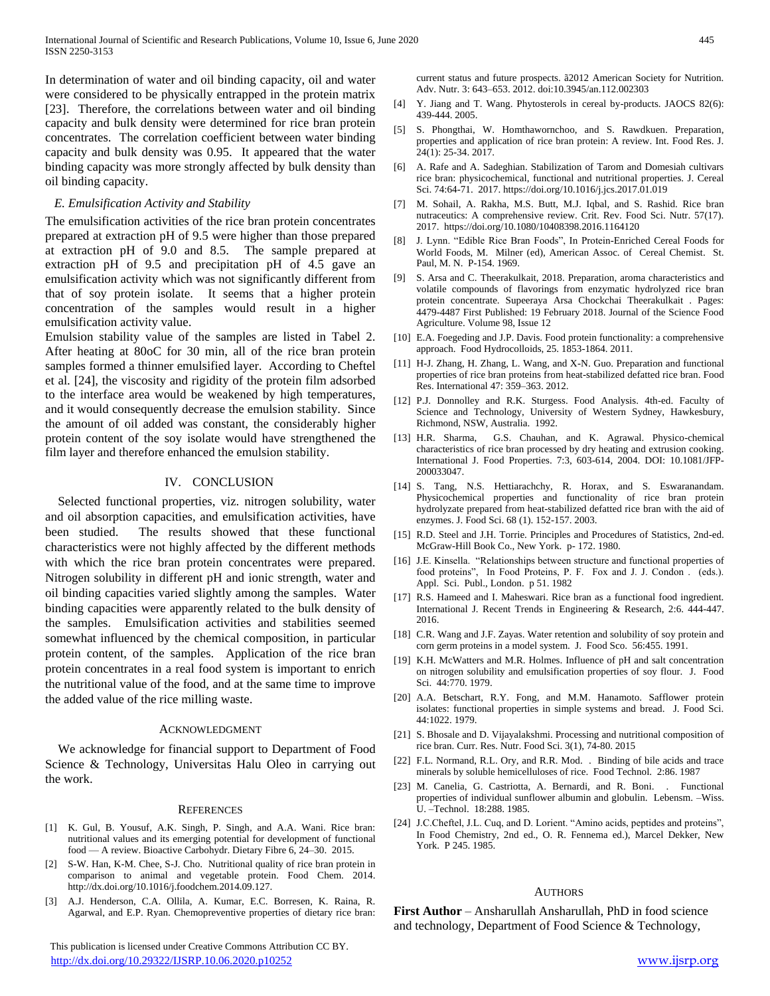In determination of water and oil binding capacity, oil and water were considered to be physically entrapped in the protein matrix [23]. Therefore, the correlations between water and oil binding capacity and bulk density were determined for rice bran protein concentrates. The correlation coefficient between water binding capacity and bulk density was 0.95. It appeared that the water binding capacity was more strongly affected by bulk density than oil binding capacity.

## *E. Emulsification Activity and Stability*

The emulsification activities of the rice bran protein concentrates prepared at extraction pH of 9.5 were higher than those prepared at extraction pH of 9.0 and 8.5. The sample prepared at extraction pH of 9.5 and precipitation pH of 4.5 gave an emulsification activity which was not significantly different from that of soy protein isolate. It seems that a higher protein concentration of the samples would result in a higher emulsification activity value.

Emulsion stability value of the samples are listed in Tabel 2. After heating at 80oC for 30 min, all of the rice bran protein samples formed a thinner emulsified layer. According to Cheftel et al. [24], the viscosity and rigidity of the protein film adsorbed to the interface area would be weakened by high temperatures, and it would consequently decrease the emulsion stability. Since the amount of oil added was constant, the considerably higher protein content of the soy isolate would have strengthened the film layer and therefore enhanced the emulsion stability.

#### IV. CONCLUSION

Selected functional properties, viz. nitrogen solubility, water and oil absorption capacities, and emulsification activities, have been studied. The results showed that these functional characteristics were not highly affected by the different methods with which the rice bran protein concentrates were prepared. Nitrogen solubility in different pH and ionic strength, water and oil binding capacities varied slightly among the samples. Water binding capacities were apparently related to the bulk density of the samples. Emulsification activities and stabilities seemed somewhat influenced by the chemical composition, in particular protein content, of the samples. Application of the rice bran protein concentrates in a real food system is important to enrich the nutritional value of the food, and at the same time to improve the added value of the rice milling waste.

#### ACKNOWLEDGMENT

We acknowledge for financial support to Department of Food Science & Technology, Universitas Halu Oleo in carrying out the work.

#### **REFERENCES**

- [1] K. Gul, B. Yousuf, A.K. Singh, P. Singh, and A.A. Wani. Rice bran: nutritional values and its emerging potential for development of functional food — A review. Bioactive Carbohydr. Dietary Fibre 6, 24–30. 2015.
- [2] S-W. Han, K-M. Chee, S-J. Cho. Nutritional quality of rice bran protein in comparison to animal and vegetable protein. Food Chem. 2014. http://dx.doi.org/10.1016/j.foodchem.2014.09.127.
- [3] A.J. Henderson, C.A. Ollila, A. Kumar, E.C. Borresen, K. Raina, R. Agarwal, and E.P. Ryan. Chemopreventive properties of dietary rice bran:

 This publication is licensed under Creative Commons Attribution CC BY. <http://dx.doi.org/10.29322/IJSRP.10.06.2020.p10252> [www.ijsrp.org](http://ijsrp.org/)

current status and future prospects. ã2012 American Society for Nutrition. Adv. Nutr. 3: 643–653. 2012. doi:10.3945/an.112.002303

- [4] Y. Jiang and T. Wang. Phytosterols in cereal by-products. JAOCS 82(6): 439-444. 2005.
- [5] S. Phongthai, W. Homthawornchoo, and S. Rawdkuen. Preparation, properties and application of rice bran protein: A review. Int. Food Res. J. 24(1): 25-34. 2017.
- [6] A. Rafe and A. Sadeghian. Stabilization of Tarom and Domesiah cultivars rice bran: physicochemical, functional and nutritional properties. J. Cereal Sci. 74:64-71. 2017. https://doi.org/10.1016/j.jcs.2017.01.019
- [7] M. Sohail, A. Rakha, M.S. Butt, M.J. Iqbal, and S. Rashid. Rice bran nutraceutics: A comprehensive review. Crit. Rev. Food Sci. Nutr. 57(17). 2017. https://doi.org/10.1080/10408398.2016.1164120
- [8] J. Lynn. "Edible Rice Bran Foods", In Protein-Enriched Cereal Foods for World Foods, M. Milner (ed), American Assoc. of Cereal Chemist. St. Paul, M. N. P-154. 1969.
- [9] S. Arsa and C. Theerakulkait, 2018. Preparation, aroma characteristics and volatile compounds of flavorings from enzymatic hydrolyzed rice bran protein concentrate. Supeeraya Arsa Chockchai Theerakulkait . Pages: 4479-4487 First Published: 19 February 2018. Journal of the Science Food Agriculture. Volume 98, Issue 12
- [10] E.A. Foegeding and J.P. Davis. Food protein functionality: a comprehensive approach. Food Hydrocolloids, 25. 1853-1864. 2011.
- [11] H-J. Zhang, H. Zhang, L. Wang, and X-N. Guo. Preparation and functional properties of rice bran proteins from heat-stabilized defatted rice bran. Food Res. International 47: 359–363. 2012.
- [12] P.J. Donnolley and R.K. Sturgess. Food Analysis. 4th-ed. Faculty of Science and Technology, University of Western Sydney, Hawkesbury, Richmond, NSW, Australia. 1992.
- [13] H.R. Sharma, G.S. Chauhan, and K. Agrawal. Physico-chemical characteristics of rice bran processed by dry heating and extrusion cooking. International J. Food Properties. 7:3, 603-614, 2004. DOI: 10.1081/JFP-200033047.
- [14] S. Tang, N.S. Hettiarachchy, R. Horax, and S. Eswaranandam. Physicochemical properties and functionality of rice bran protein hydrolyzate prepared from heat-stabilized defatted rice bran with the aid of enzymes. J. Food Sci. 68 (1). 152-157. 2003.
- [15] R.D. Steel and J.H. Torrie. Principles and Procedures of Statistics, 2nd-ed. McGraw-Hill Book Co., New York. p- 172. 1980.
- [16] J.E. Kinsella. "Relationships between structure and functional properties of food proteins", In Food Proteins, P. F. Fox and J. J. Condon . (eds.). Appl. Sci. Publ., London. p 51. 1982
- [17] R.S. Hameed and I. Maheswari. Rice bran as a functional food ingredient. International J. Recent Trends in Engineering & Research, 2:6. 444-447. 2016.
- [18] C.R. Wang and J.F. Zayas. Water retention and solubility of soy protein and corn germ proteins in a model system. J. Food Sco. 56:455. 1991.
- [19] K.H. McWatters and M.R. Holmes. Influence of pH and salt concentration on nitrogen solubility and emulsification properties of soy flour. J. Food Sci. 44:770. 1979.
- [20] A.A. Betschart, R.Y. Fong, and M.M. Hanamoto. Safflower protein isolates: functional properties in simple systems and bread. J. Food Sci. 44:1022. 1979.
- [21] S. Bhosale and D. Vijayalakshmi. Processing and nutritional composition of rice bran. Curr. Res. Nutr. Food Sci. 3(1), 74-80. 2015
- [22] F.L. Normand, R.L. Ory, and R.R. Mod. . Binding of bile acids and trace minerals by soluble hemicelluloses of rice. Food Technol. 2:86. 1987
- [23] M. Canelia, G. Castriotta, A. Bernardi, and R. Boni. . Functional properties of individual sunflower albumin and globulin. Lebensm. –Wiss. U. –Technol. 18:288. 1985.
- [24] J.C.Cheftel, J.L. Cuq, and D. Lorient. "Amino acids, peptides and proteins", In Food Chemistry, 2nd ed., O. R. Fennema ed.), Marcel Dekker, New York. P 245. 1985.

#### AUTHORS

**First Author** – Ansharullah Ansharullah, PhD in food science and technology, Department of Food Science & Technology,